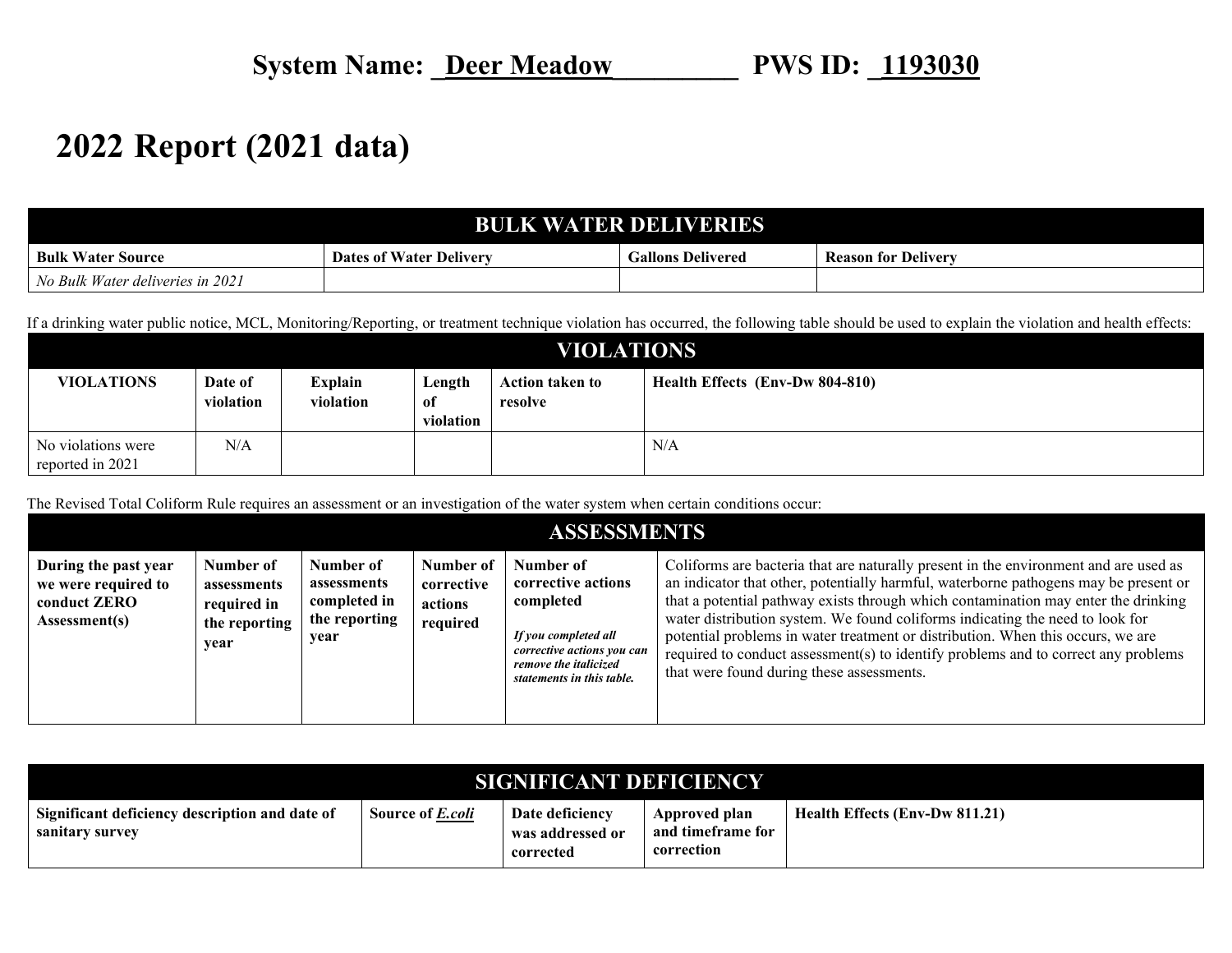## **2022 Report (2021 data)**

## **BULK WATER DELIVERIES**

| <b>Bulk</b><br>Water.<br><b>Source</b>                                  | $\mathbf{r}$<br>$\mathbf{r}$<br>t Water Deliverv<br>Dates of | Gallons Delivered | Ð<br><b>Reason for Delivery</b> |
|-------------------------------------------------------------------------|--------------------------------------------------------------|-------------------|---------------------------------|
| deliveries in 2021 ·<br>: Water<br>Bulk<br><b>A</b> <sup>1</sup><br>v v |                                                              |                   |                                 |

If a drinking water public notice, MCL, Monitoring/Reporting, or treatment technique violation has occurred, the following table should be used to explain the violation and health effects:

| <b>VIOLATIONS</b>                      |                      |                      |                           |                                   |                                 |  |  |  |
|----------------------------------------|----------------------|----------------------|---------------------------|-----------------------------------|---------------------------------|--|--|--|
| <b>VIOLATIONS</b>                      | Date of<br>violation | Explain<br>violation | Length<br>of<br>violation | <b>Action taken to</b><br>resolve | Health Effects (Env-Dw 804-810) |  |  |  |
| No violations were<br>reported in 2021 | N/A                  |                      |                           |                                   | N/A                             |  |  |  |

The Revised Total Coliform Rule requires an assessment or an investigation of the water system when certain conditions occur:

| <b>ASSESSMENTS</b>                                                                  |                                                                  |                                                                   |                                                |                                                                                                                                                          |                                                                                                                                                                                                                                                                                                                                                                                                                                                                                                                                                                           |  |  |  |
|-------------------------------------------------------------------------------------|------------------------------------------------------------------|-------------------------------------------------------------------|------------------------------------------------|----------------------------------------------------------------------------------------------------------------------------------------------------------|---------------------------------------------------------------------------------------------------------------------------------------------------------------------------------------------------------------------------------------------------------------------------------------------------------------------------------------------------------------------------------------------------------------------------------------------------------------------------------------------------------------------------------------------------------------------------|--|--|--|
| During the past year<br>we were required to<br>conduct <b>ZERO</b><br>Assessment(s) | Number of<br>assessments<br>required in<br>the reporting<br>vear | Number of<br>assessments<br>completed in<br>the reporting<br>year | Number of<br>corrective<br>actions<br>required | Number of<br>corrective actions<br>completed<br>If you completed all<br>corrective actions you can<br>remove the italicized<br>statements in this table. | Coliforms are bacteria that are naturally present in the environment and are used as<br>an indicator that other, potentially harmful, waterborne pathogens may be present or<br>that a potential pathway exists through which contamination may enter the drinking<br>water distribution system. We found coliforms indicating the need to look for<br>potential problems in water treatment or distribution. When this occurs, we are<br>required to conduct assessment(s) to identify problems and to correct any problems<br>that were found during these assessments. |  |  |  |

| <b>SIGNIFICANT DEFICIENCY</b>                                     |                         |                                                  |                                                  |                                |  |  |  |  |
|-------------------------------------------------------------------|-------------------------|--------------------------------------------------|--------------------------------------------------|--------------------------------|--|--|--|--|
| Significant deficiency description and date of<br>sanitary survey | Source of <i>E.coli</i> | Date deficiency<br>was addressed or<br>corrected | Approved plan<br>and timeframe for<br>correction | Health Effects (Env-Dw 811.21) |  |  |  |  |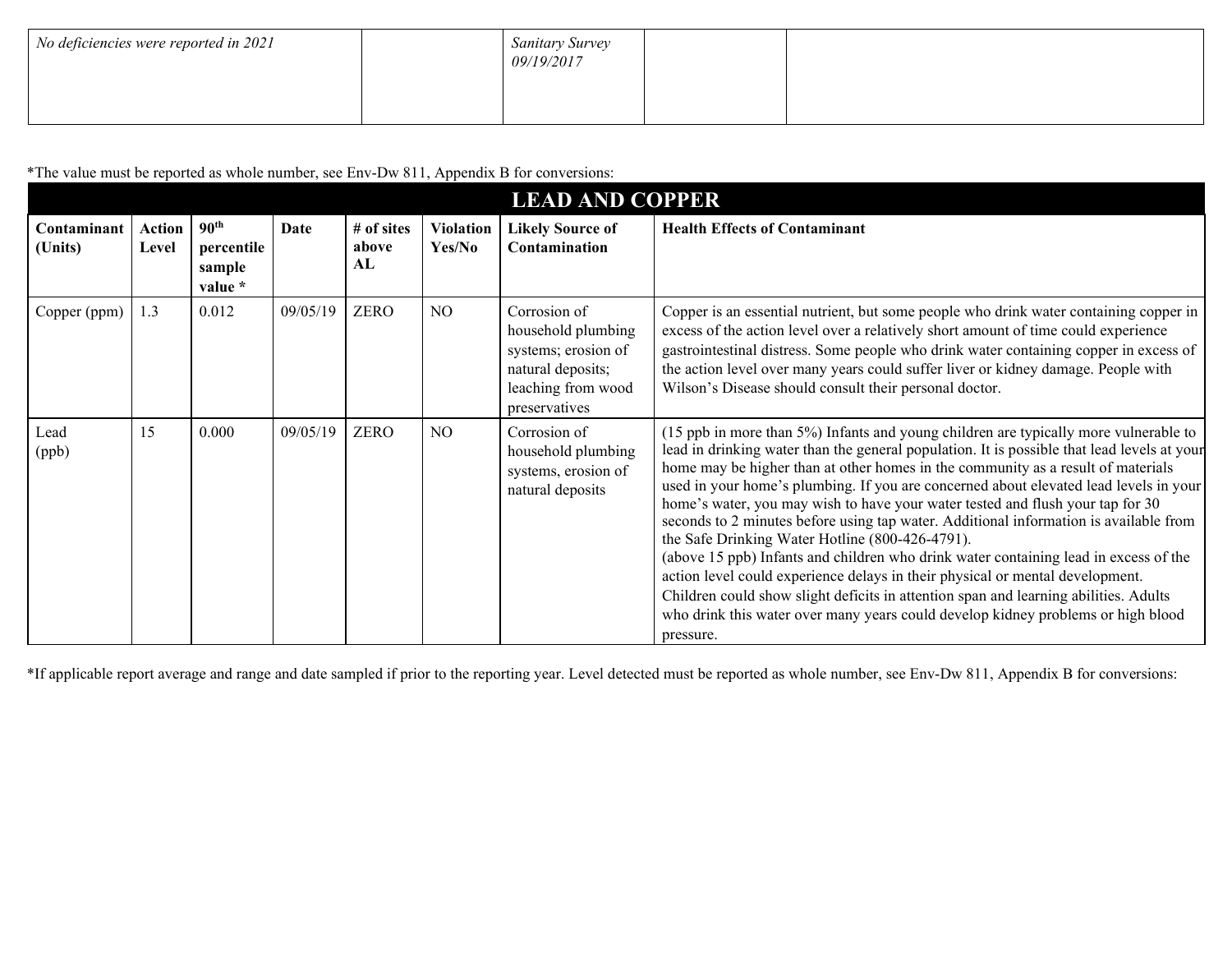| No deficiencies were reported in 2021 | <b>Sanitary Survey</b><br>09/19/2017 |  |
|---------------------------------------|--------------------------------------|--|
|                                       |                                      |  |

\*The value must be reported as whole number, see Env-Dw 811, Appendix B for conversions:

| <b>LEAD AND COPPER</b> |                        |                                                     |          |                            |                            |                                                                                                                       |                                                                                                                                                                                                                                                                                                                                                                                                                                                                                                                                                                                                                                                                                                                                                                                                                                                                                                                                                                  |
|------------------------|------------------------|-----------------------------------------------------|----------|----------------------------|----------------------------|-----------------------------------------------------------------------------------------------------------------------|------------------------------------------------------------------------------------------------------------------------------------------------------------------------------------------------------------------------------------------------------------------------------------------------------------------------------------------------------------------------------------------------------------------------------------------------------------------------------------------------------------------------------------------------------------------------------------------------------------------------------------------------------------------------------------------------------------------------------------------------------------------------------------------------------------------------------------------------------------------------------------------------------------------------------------------------------------------|
| Contaminant<br>(Units) | <b>Action</b><br>Level | 90 <sup>th</sup><br>percentile<br>sample<br>value * | Date     | # of sites<br>above<br>AL. | <b>Violation</b><br>Yes/No | <b>Likely Source of</b><br><b>Contamination</b>                                                                       | <b>Health Effects of Contaminant</b>                                                                                                                                                                                                                                                                                                                                                                                                                                                                                                                                                                                                                                                                                                                                                                                                                                                                                                                             |
| Copper (ppm)           | 1.3                    | 0.012                                               | 09/05/19 | <b>ZERO</b>                | N <sub>O</sub>             | Corrosion of<br>household plumbing<br>systems; erosion of<br>natural deposits;<br>leaching from wood<br>preservatives | Copper is an essential nutrient, but some people who drink water containing copper in<br>excess of the action level over a relatively short amount of time could experience<br>gastrointestinal distress. Some people who drink water containing copper in excess of<br>the action level over many years could suffer liver or kidney damage. People with<br>Wilson's Disease should consult their personal doctor.                                                                                                                                                                                                                                                                                                                                                                                                                                                                                                                                              |
| Lead<br>(ppb)          | 15                     | 0.000                                               | 09/05/19 | <b>ZERO</b>                | NO                         | Corrosion of<br>household plumbing<br>systems, erosion of<br>natural deposits                                         | (15 ppb in more than 5%) Infants and young children are typically more vulnerable to<br>lead in drinking water than the general population. It is possible that lead levels at your<br>home may be higher than at other homes in the community as a result of materials<br>used in your home's plumbing. If you are concerned about elevated lead levels in your<br>home's water, you may wish to have your water tested and flush your tap for 30<br>seconds to 2 minutes before using tap water. Additional information is available from<br>the Safe Drinking Water Hotline (800-426-4791).<br>(above 15 ppb) Infants and children who drink water containing lead in excess of the<br>action level could experience delays in their physical or mental development.<br>Children could show slight deficits in attention span and learning abilities. Adults<br>who drink this water over many years could develop kidney problems or high blood<br>pressure. |

\*If applicable report average and range and date sampled if prior to the reporting year. Level detected must be reported as whole number, see Env-Dw 811, Appendix B for conversions: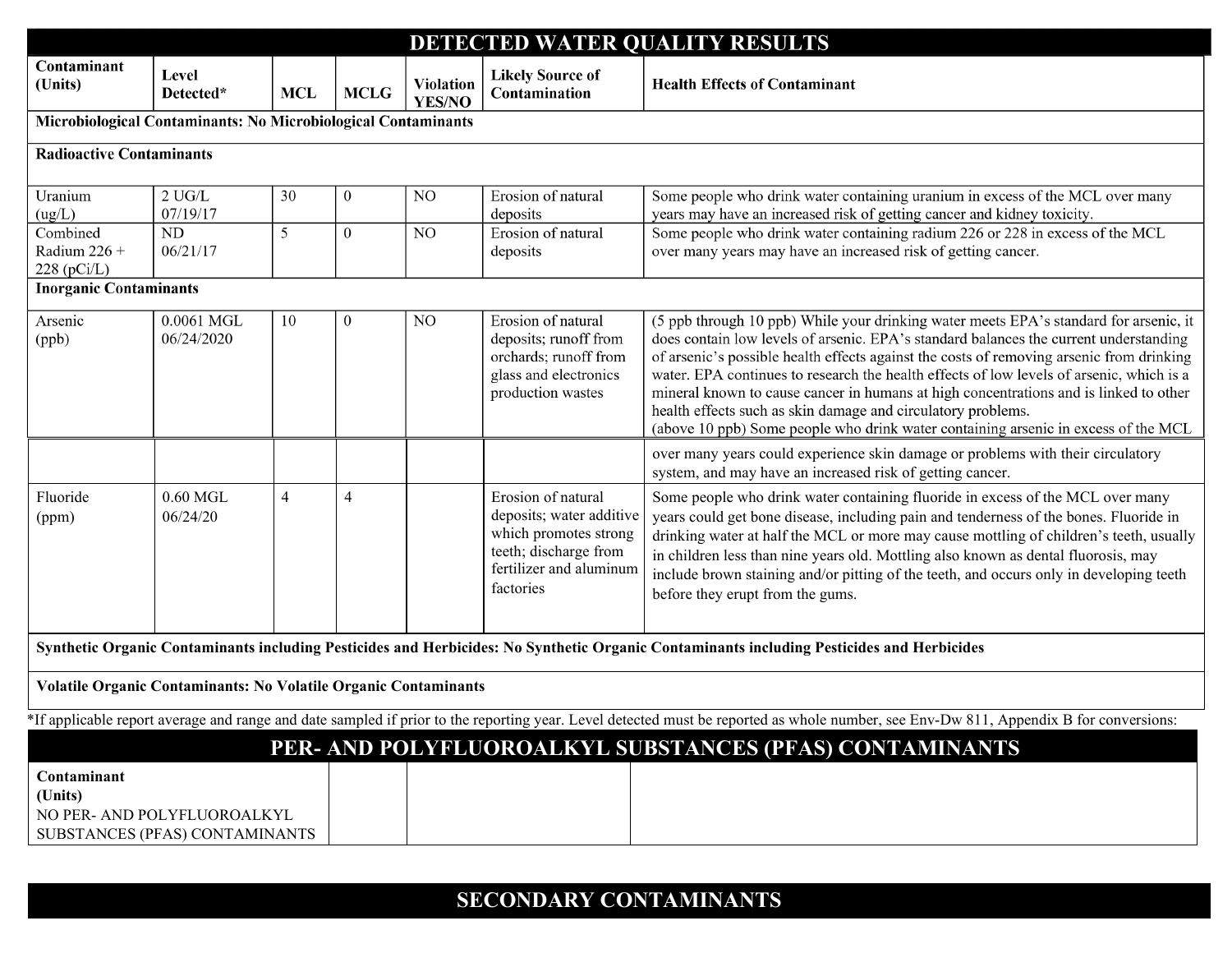| DETECTED WATER QUALITY RESULTS                                                                                                                                                        |                           |                |                |                                   |                                                                                                                                          |                                                                                                                                                                                                                                                                                                                                                                                                                                                                                                                                                                                                                       |  |  |
|---------------------------------------------------------------------------------------------------------------------------------------------------------------------------------------|---------------------------|----------------|----------------|-----------------------------------|------------------------------------------------------------------------------------------------------------------------------------------|-----------------------------------------------------------------------------------------------------------------------------------------------------------------------------------------------------------------------------------------------------------------------------------------------------------------------------------------------------------------------------------------------------------------------------------------------------------------------------------------------------------------------------------------------------------------------------------------------------------------------|--|--|
| Contaminant<br>(Units)                                                                                                                                                                | Level<br>Detected*        | <b>MCL</b>     | <b>MCLG</b>    | <b>Violation</b><br><b>YES/NO</b> | <b>Likely Source of</b><br>Contamination                                                                                                 | <b>Health Effects of Contaminant</b>                                                                                                                                                                                                                                                                                                                                                                                                                                                                                                                                                                                  |  |  |
| Microbiological Contaminants: No Microbiological Contaminants                                                                                                                         |                           |                |                |                                   |                                                                                                                                          |                                                                                                                                                                                                                                                                                                                                                                                                                                                                                                                                                                                                                       |  |  |
| <b>Radioactive Contaminants</b>                                                                                                                                                       |                           |                |                |                                   |                                                                                                                                          |                                                                                                                                                                                                                                                                                                                                                                                                                                                                                                                                                                                                                       |  |  |
| Uranium<br>(ug/L)                                                                                                                                                                     | $2$ UG/L $\,$<br>07/19/17 | 30             | $\overline{0}$ | NO                                | Erosion of natural<br>deposits                                                                                                           | Some people who drink water containing uranium in excess of the MCL over many<br>years may have an increased risk of getting cancer and kidney toxicity.                                                                                                                                                                                                                                                                                                                                                                                                                                                              |  |  |
| Combined<br>Radium $226 +$<br>$228$ (pCi/L)                                                                                                                                           | $\rm ND$<br>06/21/17      | 5              | $\overline{0}$ | NO                                | Erosion of natural<br>deposits                                                                                                           | Some people who drink water containing radium 226 or 228 in excess of the MCL<br>over many years may have an increased risk of getting cancer.                                                                                                                                                                                                                                                                                                                                                                                                                                                                        |  |  |
| <b>Inorganic Contaminants</b>                                                                                                                                                         |                           |                |                |                                   |                                                                                                                                          |                                                                                                                                                                                                                                                                                                                                                                                                                                                                                                                                                                                                                       |  |  |
| Arsenic<br>(ppb)                                                                                                                                                                      | 0.0061 MGL<br>06/24/2020  | 10             | $\mathbf{0}$   | NO                                | Erosion of natural<br>deposits; runoff from<br>orchards; runoff from<br>glass and electronics<br>production wastes                       | (5 ppb through 10 ppb) While your drinking water meets EPA's standard for arsenic, it<br>does contain low levels of arsenic. EPA's standard balances the current understanding<br>of arsenic's possible health effects against the costs of removing arsenic from drinking<br>water. EPA continues to research the health effects of low levels of arsenic, which is a<br>mineral known to cause cancer in humans at high concentrations and is linked to other<br>health effects such as skin damage and circulatory problems.<br>(above 10 ppb) Some people who drink water containing arsenic in excess of the MCL |  |  |
|                                                                                                                                                                                       |                           |                |                |                                   |                                                                                                                                          | over many years could experience skin damage or problems with their circulatory<br>system, and may have an increased risk of getting cancer.                                                                                                                                                                                                                                                                                                                                                                                                                                                                          |  |  |
| Fluoride<br>(ppm)                                                                                                                                                                     | $0.60$ MGL<br>06/24/20    | $\overline{4}$ | $\overline{4}$ |                                   | Erosion of natural<br>deposits; water additive<br>which promotes strong<br>teeth; discharge from<br>fertilizer and aluminum<br>factories | Some people who drink water containing fluoride in excess of the MCL over many<br>years could get bone disease, including pain and tenderness of the bones. Fluoride in<br>drinking water at half the MCL or more may cause mottling of children's teeth, usually<br>in children less than nine years old. Mottling also known as dental fluorosis, may<br>include brown staining and/or pitting of the teeth, and occurs only in developing teeth<br>before they erupt from the gums.                                                                                                                                |  |  |
| Synthetic Organic Contaminants including Pesticides and Herbicides: No Synthetic Organic Contaminants including Pesticides and Herbicides                                             |                           |                |                |                                   |                                                                                                                                          |                                                                                                                                                                                                                                                                                                                                                                                                                                                                                                                                                                                                                       |  |  |
| <b>Volatile Organic Contaminants: No Volatile Organic Contaminants</b>                                                                                                                |                           |                |                |                                   |                                                                                                                                          |                                                                                                                                                                                                                                                                                                                                                                                                                                                                                                                                                                                                                       |  |  |
| *If applicable report average and range and date sampled if prior to the reporting year. Level detected must be reported as whole number, see Env-Dw 811, Appendix B for conversions: |                           |                |                |                                   |                                                                                                                                          |                                                                                                                                                                                                                                                                                                                                                                                                                                                                                                                                                                                                                       |  |  |
|                                                                                                                                                                                       |                           |                |                |                                   |                                                                                                                                          | PER- AND POLYFLUOROALKYL SUBSTANCES (PFAS) CONTAMINANTS                                                                                                                                                                                                                                                                                                                                                                                                                                                                                                                                                               |  |  |
| Contaminant<br>(Units)<br>NO PER- AND POLYFLUOROALKYL<br>SUBSTANCES (PFAS) CONTAMINANTS                                                                                               |                           |                |                |                                   |                                                                                                                                          |                                                                                                                                                                                                                                                                                                                                                                                                                                                                                                                                                                                                                       |  |  |

## **SECONDARY CONTAMINANTS**